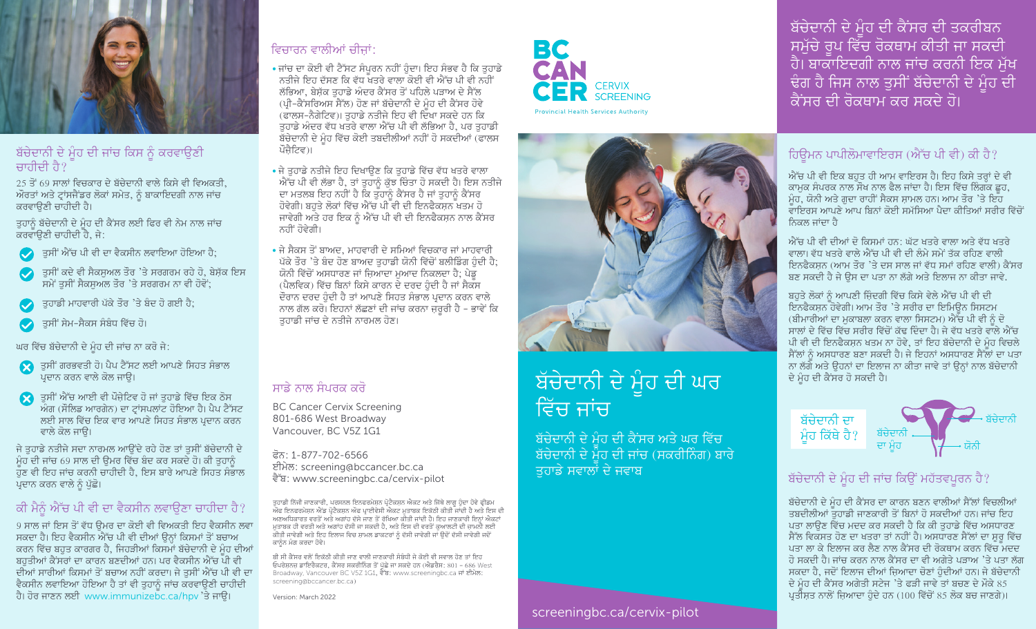

#### ਬੱਚੇਦਾਨੀ ਦੇ ਮੂੰਹ ਦੀ ਜਾਂਚ ਕਿਸ ਨੂੰ ਕਰਵਾਉਣੀ ਚਾਹੀਦੀ ਹੈ $?$

25 ਤੋਂ 69 ਸਾਲਾਂ ਵਿਚਕਾਰ ਦੇ ਬੱਚੇਦਾਨੀ ਵਾਲੇ ਕਿਸੇ ਵੀ ਵਿਅਕਤੀ. ਔਰਤਾਂ ਅਤੇ ਟ੍ਰਾਂਸਜੈਂਡਰ ਲੋਕਾਂ ਸਮੇਤ, ਨੂੰ ਬਾਕਾਇਦਗੀ ਨਾਲ ਜਾਂਚ ਕਰਵਾੳਣੀ ਚਾਹੀਦੀ ਹੈ।

ਤਹਾਨੰ ਬੱਚੇਦਾਨੀ ਦੇ ਮੰਹ ਦੀ ਕੈਂਸਰ ਲਈ ਫਿਰ ਵੀ ਨੇਮ ਨਾਲ ਜਾਂਚ ਕਰਵਾਉਣੀ ਚਾਹੀਦੀ ਹੈ, ਜੇ:

- $\blacklozenge$ ੇ ਤੁਸੀਂ ਐੱਚ ਪੀ ਵੀ ਦਾ ਵੈਕਸੀਨ ਲਵਾਇਆ ਹੋਇਆ ਹੈ;
- ਤੁਸੀਂ ਕਦੇ ਵੀ ਸੈਕਸੁਅਲ ਤੌਰ 'ਤੇ ਸਰਗਰਮ ਰਹੇ ਹੋ, ਬੇਸ਼ੱਕ ਇਸ  $\bullet$  $\overline{B}$ ਸਮੇਂ ਤਸੀਂ ਸੈਕਸਅਲ ਤੌਰ 'ਤੇ ਸਰਗਰਮ ਨਾ ਵੀ ਹੋਵੇਂ:
- ਤੁਹਾਡੀ ਮਾਹਵਾਰੀ ਪੱਕੇ ਤੌਰ 'ਤੇ ਬੰਦ ਹੋ ਗਈ ਹੈ;
- ਤਸੀਂ ਸੇਮ-ਸੈਕਸ ਸੰਬੰਧ ਵਿੱਚ ਹੋ।

ਘਰ ਵਿੱਚ ਬੱਚੇਦਾਨੀ ਦੇ ਮੂੰਹ ਦੀ ਜਾਂਚ ਨਾ ਕਰੋ ਜੇ:

- $\Omega$  ਤੁਸੀਂ ਗਰਭਵਤੀ ਹੋ। ਪੈਪ ਟੈੱਸਟ ਲਈ ਆਪਣੇ ਸਿਹਤ ਸੰਭਾਲ ਪਦਾਨ ਕਰਨ ਵਾਲੇ ਕੋਲ ਜਾੳ।
- $\Omega$  ਤਸੀਂ ਐੱਚ ਆਈ ਵੀ ਪੌਜੇਟਿਵ ਹੋ ਜਾਂ ਤਹਾਡੇ ਵਿੱਚ ਇਕ ਠੋਸ .<br>ਅੰਗ (ਸੌਲਿਡ ਆਰਗੇਨ) ਦਾ ਟਾਂਸਪਲਾਂਟ ਹੋਇਆ ਹੈ। ਪੈਪ ਟੈੱਸਟ ਲਈ ਸਾਲ ਵਿੱਚ ਇਕ ਵਾਰ ਆਪਣੇ ਸਿਹਤ ਸੰਭਾਲ ਪ੍ਰਦਾਨ ਕਰਨ ਵਾਲੇ ਕੋਲ ਜਾੳ।

ਜੇ ਤਹਾਡੇ ਨਤੀਜੇ ਸਦਾ ਨਾਰਮਲ ਆੳਂਦੇ ਰਹੇ ਹੋਣ ਤਾਂ ਤਸੀਂ ਬੱਚੇਦਾਨੀ ਦੇ ਮੰਹ ਦੀ ਜਾਂਚ 69 ਸਾਲ ਦੀ ੳਮਰ ਵਿੱਚ ਬੰਦ ਕਰ ਸਕਦੇ ਹੋ। ਕੀ ਤਹਾਨੰ ੱਹਣ ਵੀ ਇਹ ਜਾਂਚ ਕਰਨੀ ਚਾਹੀਦੀ ਹੈ. ਇਸ ਬਾਰੇ ਆਪਣੇ ਸਿਹਤ ਸੰਭਾਲ ਪ੍ਰਦਾਨ ਕਰਨ ਵਾਲੇ ਨੂੰ ਪੁੱਛੋ।

# ਕੀ ਮੈਨੰ ਐੱਚ ਪੀ ਵੀ ਦਾ ਵੈਕਸੀਨ ਲਵਾੳਣਾ ਚਾਹੀਦਾ ਹੈ?

9 ਸਾਲ ਜਾਂ ਇਸ ਤੋਂ ਵੱਧ ੳਮਰ ਦਾ ਕੋਈ ਵੀ ਵਿਅਕਤੀ ਇਹ ਵੈਕਸੀਨ ਲਵਾ ਸਕਦਾ ਹੈ। ਇਹ ਵੈਕਸੀਨ ਐੱਚ ਪੀ ਵੀ ਦੀਆਂ ੳਨਾਂ ਕਿਸਮਾਂ ਤੋਂ ਬਚਾਅ ਕਰਨ ਵਿੱਚ ਬਹੁਤ ਕਾਰਗਰ ਹੈ, ਜਿਹੜੀਆਂ ਕਿਸਮਾਂ ਬੱਚੇਦਾਨੀ ਦੇ ਮੂੰਹ ਦੀਆਂ ਬਹਤੀਆਂ ਕੈਂਸਰਾਂ ਦਾ ਕਾਰਨ ਬਣਦੀਆਂ ਹਨ। ਪਰ ਵੈਕਸੀਨ ਐੱਚ ਪੀ ਵੀ ਦੀਆਂ ਸਾਰੀਆਂ ਕਿਸਮਾਂ ਤੋਂ ਬਚਾਅ ਨਹੀਂ ਕਰਦਾ। ਜੇ ਤਸੀਂ ਐੱਚ ਪੀ ਵੀ ਦਾ ਵੈਕਸੀਨ ਲਵਾਇਆ ਹੋਇਆ ਹੈ ਤਾਂ ਵੀ ਤੁਹਾਨੂੰ ਜਾਂਚ ਕਰਵਾਉਣੀ ਚਾਹੀਦੀ ਹੈ। ਹੋਰ ਜਾਣਨ ਲਈ www.immunizebc.ca/hpv 'ਤੇ ਜਾਉ।

# ਵਿਚਾਰਨ ਵਾਲੀਆਂ ਚੀਜਾਂ:

- ਜਾਂਚ ਦਾ ਕੋਈ ਵੀ ਟੈੱਸਟ ਸੰਪਰਨ ਨਹੀਂ ਹੋਦਾ। ਇਹ ਸੰਭਵ ਹੈ ਕਿ ਤਹਾਡੇ <u>ਨਤੀਜੇ ਇਹ ਦੱਸਣ ਕਿ ਵੱਧ ਖਤਰੇ ਵਾਲਾ ਕੋਈ ਵੀ ਐੱਚ ਪੀ ਵੀ ਨਹੀਂ</u> ਲੱਭਿਆ, ਬੇਸ਼ੱਕ ਤਹਾਡੇ ਅੰਦਰ ਕੈਂਸਰ ਤੋਂ ਪਹਿਲੇ ਪੜਾਅ ਦੇ ਸੈੱਲ (ਪ੍ਰੀ-ਕੈਂਸਰਿਅਸ ਸੈੱਲ) ਹੋਣ ਜਾਂ ਬੱਚੇਦਾਨੀ ਦੇ ਮੰਹ ਦੀ ਕੈਂਸਰ ਹੋਵੇ (ਫਾਲਸ-ਨੈਗੇਟਿਵ)। ਤਹਾਡੇ ਨਤੀਜੇ ਇਹ ਵੀ ਦਿੱਖਾ ਸਕਦੇ ਹਨ ਕਿ ਤਹਾਡੇ ਅੰਦਰ ਵੱਧ ਖਤਰੇ ਵਾਲਾ ਐੱਚ ਪੀ ਵੀ ਲੱਭਿਆ ਹੈ, ਪਰ ਤਹਾਡੀ ਬੌਚੇਦਾਨੀ ਦੇ ਮੂੰਹ ਵਿੱਚ ਕੋਈ ਤਬਦੀਲੀਆਂ ਨਹੀਂ ਹੋ ਸਕਦੀਆਂ (ਫਾਲਸ ਪੌਜੈਟਿਵ)।
- $\overline{\phantom{a}}$ ਜੇ ਤਹਾਡੇ ਨਤੀਜੇ ਇਹ ਦਿਖਾੳਣ ਕਿ ਤਹਾਡੇ ਵਿੱਚ ਵੱਧ ਖਤਰੇ ਵਾਲਾ ਐੱਚ ਪੀ ਵੀ ਲੱਭਾ ਹੈ, ਤਾਂ ਤੁਹਾਨੂੰ ਕੁੱਝ ਚਿੰਤਾ ਹੋ ਸਕਦੀ ਹੈ। ਇਸ ਨਤੀਜੇ ਦਾ ਮਤਲਬ ਇਹ ਨਹੀਂ ਹੈ ਕਿ ਤੁਹਾਨੂੰ ਕੈਂਸਰ ਹੈ ਜਾਂ ਤੁਹਾਨੂੰ ਕੈਂਸਰ ਹੋਵੇਗੀ। ਬਹਤੇ ਲੋਕਾਂ ਵਿੱਚ ਐੱਚ ਪੀ ਵੀ ਦੀ ਇਨਫੈਕਸਨ ਖਤਮ ਹੋ ਜਾਵੇਗੀ ਅਤੇ ਹਰ ਇਕ ਨੂੰ ਐੱਚ ਪੀ ਵੀ ਦੀ ਇਨਫੈਕਸਨ ਨਾਲ ਕੈਂਸਰ ਨਹੀਂ ਹੋਵੇਗੀ।
- ਜੇ ਸੈਕਸ ਤੋਂ ਬਾਅਦ, ਮਾਹਵਾਰੀ ਦੇ ਸਮਿਆਂ ਵਿਚਕਾਰ ਜਾਂ ਮਾਹਵਾਰੀ ਪੱਕੇ ਤੌਰ 'ਤੇ ਬੰਦ ਹੋਣ ਬਾਅਦ ਤਹਾਡੀ ਯੋਨੀ ਵਿੱਚੋਂ ਬਲੀਡਿੰਗ ਹੈਦੀ ਹੈ: <u>ਯੋਨੀ ਵਿੱਚੋਂ ਅਸਧਾਰਣ ਜਾਂ ਜਿਆਦਾ ਮਆਦ ਨਿਕਲਦਾ ਹੈ; ਪੇਡ</u> (ਪੈਲਵਿਕ) ਵਿੱਚ ਬਿਨਾਂ ਕਿਸੇ ਕਾਰਨ ਦੇ ਦਰਦ ਹੁੰਦੀ ਹੈ ਜਾਂ ਸੈਕੱਸ ਦੌਰਾਨ ਦਰਦ ਹੰਦੀ ਹੈ ਤਾਂ ਆਪਣੇ ਸਿਹਤ ਸੰਭਾਲ ਪ੍ਰਦਾਨ ਕਰਨ ਵਾਲੇ ਨਾਲ ਗੱਲ ਕਰੋ। ਇਹਨਾਂ ਲੱਛਣਾਂ ਦੀ ਜਾਂਚ ਕਰਨਾ ਜ਼ਰਰੀ ਹੈ - ਭਾਵੇਂ ਕਿ ਤਹਾਡੀ ਜਾਂਚ ਦੇ ਨਤੀਜੇ ਨਾਰਮਲ ਹੋਣ।

#### ਸਾਡੇ ਨਾਲ ਸੰਪਰਕ ਕਰੋ

BC Cancer Cervix Screening 801-686 West Broadway Vancouver, BC V5Z 1G1

ਫੋਨ: 1-877-702-6566 eImyl: screening@bccancer.bc.ca ਵੈੱਬ: www.screeningbc.ca/cervix-pilot

ਤੁਹਾਡੀ ਨਿੱਜੀ ਜਾਣਕਾਰੀ, ਪਰਸਨਲ ਇਨਫਰਮੇਸ਼ਨ ਪ੍ਰੋਟੈਕਸ਼ਨ ਐਕਟ ਅਤੇ ਜਿੱਥੇ ਲਾਗੂ ਹੁੰਦਾ ਹੋਵੇ ਫ੍ਰੀਡਮ ਬੁੱਤ ਤੋਂ ਸਿਸਮਾਂ ਮਾਤਵਾਦ, ਜਰਮਿਨ ਸੁਰਨਤਰਸਮੇਨ ਰੂਤਵੰਸ਼ਨ ਸਰਦਾ ਸਤਾਮਤ ਨਾਕੂ ਭੂੰਤੂ ਹੋ ਤੋਂ ਦ੍ਰੋਫ਼ਸ<br>ਔਫ ਇਨਫਰਮੇਸ਼ਨ ਐਂਡ ਪ੍ਰੋਟੈਕਸ਼ਨ ਔਫ ਪ੍ਰਾਈਵੇਸੀ ਐਕਟ ਮੁਤਾਬਕ ਇਕੱਠੀ ਕੀਤੀ ਜਾਂਦੀ ਹੈ ਅਤੇ ਇਸ ਦੀ ਅਣਅਧਿਕਾਰਤ ਵਰਤੋਂ ਅਤੇ ਅਗਾਂਹ ਦੱਸੇ ਜਾਣ ਤੋਂ ਰੱਖਿਆ ਕੀਤੀ ਜਾਂਦੀ ਹੈ। ਇਹ ਜਾਣਕਾਰੀ ਇਨ੍ਹਾਂ ਐਕਟਾਂ ਮੁਤਾਬਕ ਹੀ ਵਰਤੀ ਅਤੇ ਅਗਾਂਹ ਦੋਸੀ ਜਾ ਸਕਦੀ ਹੋ, ਅਤੇ ਇਸ ਦੀ ਵਰਤੋਂ ਕੁਆਲਟੀ ਦੀ ਜ਼ਾਮਨੀ ਲਈ<br>ਕੀਤੀ ਜਾਵੇਗੀ ਅਤੇ ਇਹ ਇਲਾਜ ਵਿਚ ਸ਼ਾਮਲ ਡਾਕਟਰਾਂ ਨੂੰ ਦੱਸੀ ਜਾਵੇਗੀ ਜਾਂ ਉਦੋਂ ਦੱਸੀ ਜਾਵੇਗੀ ਜਦੋਂ ਕਾਨੰਨ ਮੰਗ ਕਰਦਾ ਹੋਵੇ।

ਬੀ ਸੀ ਕੈਂਸਰ ਵਲੋਂ ਇਕੱਠੀ ਕੀਤੀ ਜਾਣ ਵਾਲੀ ਜਾਣਕਾਰੀ ਸੰਬੰਧੀ ਜੇ ਕੋਈ ਵੀ ਸਵਾਲ ਹੋਣ ਤਾਂ ਇਹ ਓਪਰੇਸ਼ਨਜ਼ ਡਾਇਰੈਕਟਰ, ਕੈਂਸਰ ਸਕਰੀਨਿੰਗ ਤੋਂ ਪੱਛੇ ਜਾ ਸਕਦੇ ਹਨ (ਐਡਰੈਸ: 801 – 686 West Broadway, Vancouver BC V5Z 1G1, ਵੈੱਬ: www.screeningbc.ca ਜਾਂ ਈਮੇਲ: screening@bccancer.bc.ca)

Version: March 2022



**Provincial Health Services Authority** 



# ਬੱਚੇਦਾਨੀ ਦੇ ਮੂੰਹ ਦੀ ਘਰ ਵਿੱਚ ਜਾਂਚ

।ਬੱਚੇਦਾਨੀ <u>ਦੇ ਮੂੰਹ ਦੀ ਕੈਂਸਰ ਅਤੇ</u> ਘਰ <u>ਵਿੱਚ</u> ਬੱਚੇਦਾਨੀ ਦੇ ਮੌਹ ਦੀ ਜਾਂਚ (ਸਕਰੀਨਿੰਗ) ਬਾਰੇ ਤੁਹਾਡੇ ਸਵਾਲਾਂ ਦੇ <u>ਜਵਾਬ</u>



ਬੱਚੇਦਾਨੀ ਦੇ ਮੂੰਹ ਦੀ ਕੈਂਸਰ ਦੀ ਤਕਰੀਬਨ <u>ਸਮੁੱਚੇ ਰੂਪ ਵਿੱਚ ਰੋਕਥਾਮ ਕੀਤੀ ਜਾ ਸਕਦੀ</u> ਹੈ। ਬਾਕਾਇਦਗੀ ਨਾਲ ਜਾਂਚ ਕਰਨੀ ਇਕ ਮੱਖ ਢੰਗ ਹੈ ਜਿਸ ਨਾਲ ਤੁਸੀਂ ਬੱਚੇਦਾਨੀ ਦੇ ਮੂੰਹ ਦੀ ਕੈਂਸਰ ਦੀ ਰੋਕਥਾਮ ਕਰ ਸਕਦੇ ਹੋ।

# ਹਿੳਮਨ ਪਾਪੀਲੋਮਾਵਾਇਰਸ (ਐੱਚ ਪੀ ਵੀ) ਕੀ ਹੈ?

ਐੱਚ ਪੀ ਵੀ ਇਕ ਬਹਤ ਹੀ ਆਮ ਵਾਇਰਸ ਹੈ। ਇਹ ਕਿਸੇ ਤਰ੍ਹਾਂ ਦੇ ਵੀ ਕਾਮਕ ਸੰਪਰਕ ਨਾਲ ਸੌਖ ਨਾਲ ਫੈਲ ਜਾਂਦਾ ਹੈ। ਇਸ ਵਿੱਚ ਲਿੰਗੱਕ ਛਹ, ਮੌਹ, ਯੋਨੀ ਅਤੇ ਗਦਾ ਰਾਹੀਂ ਸੈਕਸ ਸ਼ਾਮਲ ਹਨ। ਆਮ ਤੌਰ 'ਤੇ ਇਹ ਵਾਇਰਸ ਆਪਣੇ ਆਪ ਬਿਨਾਂ ਕੋਈ ਸਮੱਸਿਆ ਪੈਦਾ ਕੀਤਿਆਂ ਸਰੀਰ ਵਿੱਚੋਂ ਨਿਕਲ ਜਾਂਦਾ ਹੈ

<u>ਐੱਚ ਪੀ ਵੀ ਦੀਆਂ ਦੋ ਕਿਸਮਾਂ ਹਨ: ਘੱਟ ਖਤਰੇ ਵਾਲਾ ਅਤੇ ਵੱਧ ਖਤਰੇ</u> ਵਾਲਾ। ਵੱਧ ਖਤਰੇ ਵਾਲੇ ਐੱਚ ਪੀ ਵੀ ਦੀ ਲੰਮੇ ਸਮੇਂ ਤੱਕ ਰਹਿਣ ਵਾਲੀ ਇਨਫੈਕਸੁਨ (ਆਮ ਤੌਰ 'ਤੇ ਦਸ ਸਾਲ ਜਾਂ ਵੱਧ ਸਮਾਂ ਰਹਿਣ ਵਾਲੀ) ਕੈਂਸਰ ਬਣ ਸਕਦੀ ਹੈ ਜੇ ਉਸ ਦਾ ਪਤਾ ਨਾ ਲੱਗੇ ਅਤੇ ਇਲਾਜ ਨਾ ਕੀਤਾ ਜਾਵੇ.

ਬਹਤੇ ਲੋਕਾਂ ਨੂੰ ਆਪਣੀ ਜਿੰਦਗੀ ਵਿੱਚ ਕਿਸੇ ਵੇਲੇ ਐੱਚ ਪੀ ਵੀ ਦੀ ਇਨਫੈਕਸਨ ਹੋਵੇਗੀ। ਆਮ ਤੌਰ 'ਤੇ ਸਰੀਰ ਦਾ ਇਮਿੳਨ ਸਿਸਟਮ (ਬੀਮਾਰੀਆਂ ਦਾ ਮਕਾਬਲਾ ਕਰਨ ਵਾਲਾ ਸਿਸਟਮ) ਐੱਚ ਪੀ ਵੀ ਨੰ ਦੋ ਸਾਲਾਂ ਦੇ ਵਿੱਚ ਵਿੱਚ ਸਰੀਰ ਵਿੱਚੋਂ ਕੱਢ ਦਿੰਦਾ ਹੈ। ਜੇ ਵੱਧ ਖਤਰੇ ਵਾਲੇ ਐੱਚ ਪੀ ਵੀ ਦੀ ਇਨਫੈਕਸਨ ਖਤਮ ਨਾ ਹੋਵੇ. ਤਾਂ ਇਹ ਬੱਚੇਦਾਨੀ ਦੇ ਮੂੰਹ ਵਿਚਲੇ ਸੈੱਲਾਂ ਨੰ ਅਸਧਾਰਣ ਬਣਾ ਸਕਦੀ ਹੈ। ਜੇ ਇਹਨਾਂ ਅਸਧਾਰਣ ਸੈੱਲਾਂ ਦਾ ਪਤਾ ਨਾ ਲੱਗੇ ਅਤੇ ਉਹਨਾਂ ਦਾ ਇਲਾਜ ਨਾ ਕੀਤਾ ਜਾਵੇ ਤਾਂ ਉਨ੍ਹਾਂ ਨਾਲ ਬੱਚੇਦਾਨੀ ਦੇ ਮੰਹ ਦੀ ਕੈਂਸਰ ਹੋ ਸਕਦੀ ਹੈ।



### ਬੱਚੇਦਾਨੀ ਦੇ ਮੂੰਹ ਦੀ ਜਾਂਚ ਕਿਉਂ ਮਹੱਤਵਪੂਰਨ ਹੈ?

ਬੱਚੇਦਾਨੀ ਦੇ ਮੰਹ ਦੀ ਕੈਂਸਰ ਦਾ ਕਾਰਨ ਬਣਨ ਵਾਲੀਆਂ ਸੈੱਲਾਂ ਵਿਚਲੀਆਂ ਤਬਦੀਲੀਆਂ ਤਹਾਡੀ ਜਾਣਕਾਰੀ ਤੋਂ ਬਿਨਾਂ ਹੋ ਸਕਦੀਆਂ ਹਨ। ਜਾਂਚ ਇਹ ਪਤਾ ਲਾੳਣ ਵਿੱਚ ਮਦਦ ਕਰ ਸਕਦੀ ਹੈ ਕਿ ਕੀ ਤਹਾਡੇ ਵਿੱਚ ਅਸਧਾਰਣ ਸੈੱਲ ਵਿਕਸਤ ਹੋਣ ਦਾ ਖਤਰਾ ਤਾਂ ਨਹੀਂ ਹੈ। ਅਸਧਾਰਣ ਸੈੱਲਾਂ ਦਾ ਸ਼ੁਰੂ ਵਿੱਚ ਪਤਾ ਲਾ ਕੇ ਇਲਾਜ ਕਰ ਲੈਣ ਨਾਲ ਕੈਂਸਰ ਦੀ ਰੋਕਥਾਮ ਕਰਨ ਵਿੱਚ ਮਦਦ ਹੋ ਸਕਦੀ ਹੈ। ਜਾਂਚ ਕਰਨ ਨਾਲ ਕੈਂਸਰ ਦਾ ਵੀ ਅਗੇਤੇ ਪੜਾਅ 'ਤੇ ਪਤਾ ਲੱਗ ਸਕਦਾ ਹੈ, ਜਦੋਂ ਇਲਾਜ ਦੀਆਂ ਜ਼ਿਆਦਾ ਚੋਣਾਂ ਹੰਦੀਆਂ ਹਨ। ਜੇ ਬੱਚੇਦਾਨੀ <u>ਦੇ ਮੂੰਹ ਦੀ ਕੈਂਸਰ ਅਗੇਤੀ ਸਟੇਜ 'ਤੇ ਫੜੀ ਜਾਵੇ ਤਾਂ ਬਚਣ ਦੇ ਮੌਕੇ 85</u> ਪ੍ਰਤੀਸ਼ਤ ਨਾਲੋਂ ਜ਼ਿਆਦਾ ਹੁੰਦੇ ਹਨ (100 ਵਿੱਚੋਂ 85 ਲੋਕ ਬਚ ਜਾਣਗੇ)।